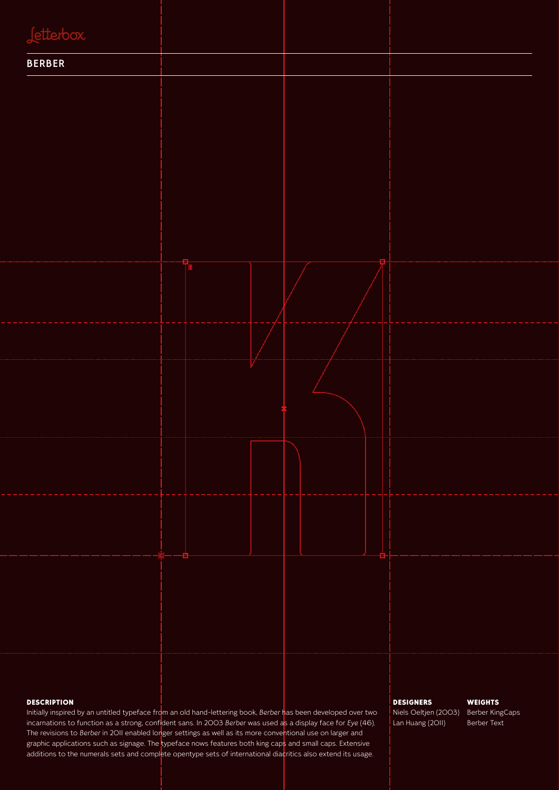| <b>Jetterbox</b>                                                                                               |  |                                         |
|----------------------------------------------------------------------------------------------------------------|--|-----------------------------------------|
| <b>BERBER</b>                                                                                                  |  |                                         |
|                                                                                                                |  |                                         |
|                                                                                                                |  |                                         |
|                                                                                                                |  |                                         |
|                                                                                                                |  |                                         |
|                                                                                                                |  |                                         |
|                                                                                                                |  |                                         |
|                                                                                                                |  |                                         |
|                                                                                                                |  |                                         |
|                                                                                                                |  |                                         |
|                                                                                                                |  |                                         |
|                                                                                                                |  |                                         |
|                                                                                                                |  |                                         |
|                                                                                                                |  |                                         |
|                                                                                                                |  |                                         |
|                                                                                                                |  |                                         |
|                                                                                                                |  |                                         |
|                                                                                                                |  |                                         |
|                                                                                                                |  |                                         |
|                                                                                                                |  |                                         |
|                                                                                                                |  |                                         |
|                                                                                                                |  |                                         |
|                                                                                                                |  |                                         |
|                                                                                                                |  |                                         |
| <b>DESCRIPTION</b>                                                                                             |  | <b>DESIGNERS</b><br><b>WEIGHTS</b>      |
| Initially inspired by an untitled typeface from an old hand-lettering book, Berber has been developed over two |  | Niels Oeltjen (2003)<br>Berber KingCaps |

incarnations to function as a strong, confident sans. In 2003 *Berber* was used as a display face for *Eye* (46). The revisions to *Berber* in 2011 enabled longer settings as well as its more conventional use on larger and graphic applications such as signage. The typeface nows features both king caps and small caps. Extensive additions to the numerals sets and complete opentype sets of international diacritics also extend its usage.

Lan Huang (2011)

#### Berber Text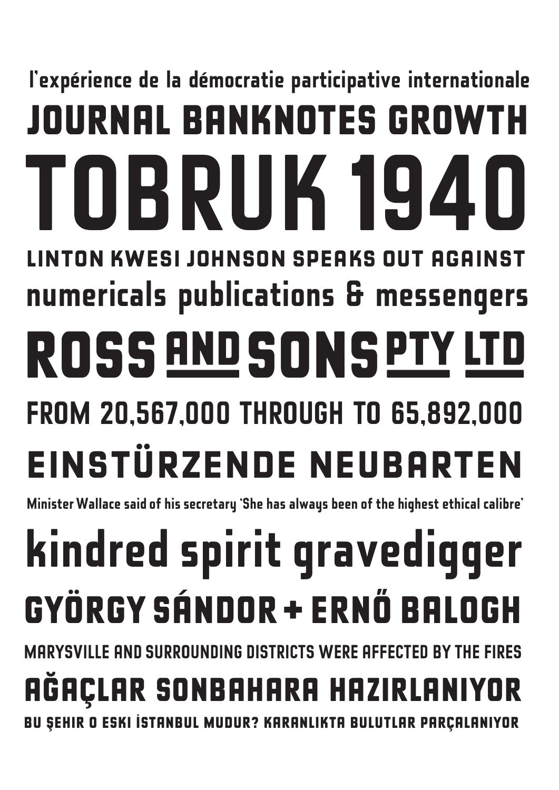# **l'expérience de la démocratie participative internationale journal banknotes growth einstürzende neubarten numericals publications & messengers TOBRUK 1940 FROM 20,567,000 THROUGH TO 65,892,000 linton kwesi johnson speaks out against ROSS AND SONSPTY LTD**

**Minister Wallace said of his secretary 'She has always been of the highest ethical calibre'**

# **kindred spirit gravedigger György Sándor + Ernő Balogh**

**MARYSVILLE AND SURROUNDING DISTRICTS WERE AFFECTED BY THE FIRES** 

# **Ağaçlar sonbahara hazırlanıyor**

**Bu şehir o eski İstanbul mudur? Karanlıkta bulutlar parçalanıyor**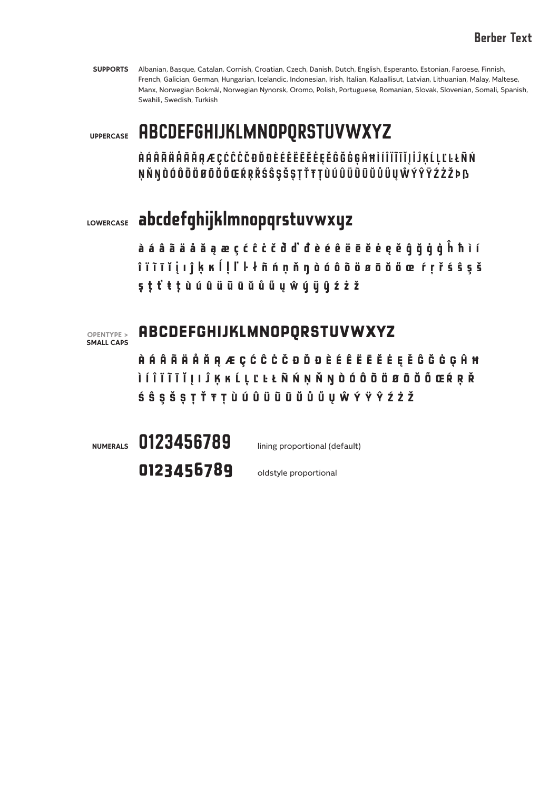#### **Berber Text**

**SUPPORTS** Albanian, Basque, Catalan, Cornish, Croatian, Czech, Danish, Dutch, English, Esperanto, Estonian, Faroese, Finnish, French, Galician, German, Hungarian, Icelandic, Indonesian, Irish, Italian, Kalaallisut, Latvian, Lithuanian, Malay, Maltese, Manx, Norwegian Bokmål, Norwegian Nynorsk, Oromo, Polish, Portuguese, Romanian, Slovak, Slovenian, Somali, Spanish, Swahili, Swedish, Turkish

**UPPERCASE**

#### **ABCDEFGHIJKLMNOPQRSTUVWXYZ**

**ÀÁÂÃÄÅĀĂĄÆÇĆĈĊČÐĎĐÈÉÊËĒĔĖĘĚĜĞĠĢĤĦÌÍÎÏĨĪĬĮİĴĶĹĻĽĿŁÑŃ ŅŇŊÒÓÔÕÖØŌŎŐŒŔŖŘŚŜŞŠȘŢŤŦȚÙÚÛÜŨŪŬŮŰŲŴÝŶŸŹŻŽÞß**

## **abcdefghijklmnopqrstuvwxyz LOWERCASE**

**àáâãäåăąæçćĉċčðďđèéêëēĕėęěĝğġģĥħìí îïĩīĭįıĵķĸĺļľŀłñńņňŋòóôõöøōŏőœŕŗřśŝşš șţťŧ țùúûüũūŭůűųŵýÿŷźżž**



#### **abcdefghijklmnopqrstuvwxyz**

**àáâãäåăąæçćĉċčðďđèéêëēĕėęěĝğġģĥħ ìíîïĩīĭįıĵķ ĸ ĺļľŀłñńņňŋòóôõöøōŏőœŕŗř śŝşšșţťŧțùúû ü ũūŭůűųŵýÿŷźżž**

**NUMERALS**

**0123456789** lining proportional (default)

**0123456789** oldstyle proportional